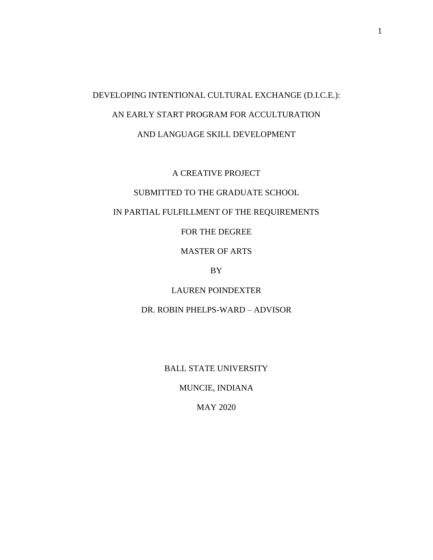# DEVELOPING INTENTIONAL CULTURAL EXCHANGE (D.I.C.E.): AN EARLY START PROGRAM FOR ACCULTURATION AND LANGUAGE SKILL DEVELOPMENT

A CREATIVE PROJECT

## SUBMITTED TO THE GRADUATE SCHOOL

## IN PARTIAL FULFILLMENT OF THE REQUIREMENTS

FOR THE DEGREE

MASTER OF ARTS

BY

LAUREN POINDEXTER

DR. ROBIN PHELPS-WARD – ADVISOR

BALL STATE UNIVERSITY

MUNCIE, INDIANA

MAY 2020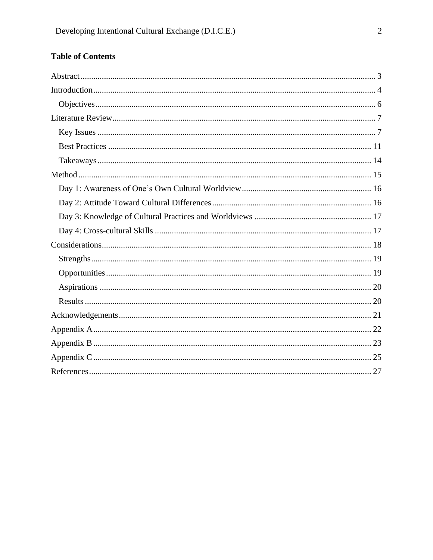## **Table of Contents**

<span id="page-1-0"></span>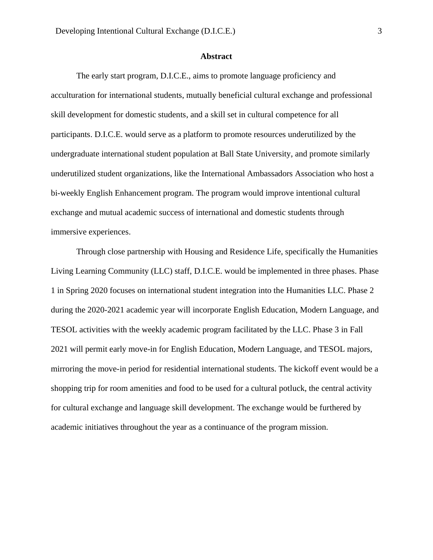#### **Abstract**

The early start program, D.I.C.E., aims to promote language proficiency and acculturation for international students, mutually beneficial cultural exchange and professional skill development for domestic students, and a skill set in cultural competence for all participants. D.I.C.E. would serve as a platform to promote resources underutilized by the undergraduate international student population at Ball State University, and promote similarly underutilized student organizations, like the International Ambassadors Association who host a bi-weekly English Enhancement program. The program would improve intentional cultural exchange and mutual academic success of international and domestic students through immersive experiences.

Through close partnership with Housing and Residence Life, specifically the Humanities Living Learning Community (LLC) staff, D.I.C.E. would be implemented in three phases. Phase 1 in Spring 2020 focuses on international student integration into the Humanities LLC. Phase 2 during the 2020-2021 academic year will incorporate English Education, Modern Language, and TESOL activities with the weekly academic program facilitated by the LLC. Phase 3 in Fall 2021 will permit early move-in for English Education, Modern Language, and TESOL majors, mirroring the move-in period for residential international students. The kickoff event would be a shopping trip for room amenities and food to be used for a cultural potluck, the central activity for cultural exchange and language skill development. The exchange would be furthered by academic initiatives throughout the year as a continuance of the program mission.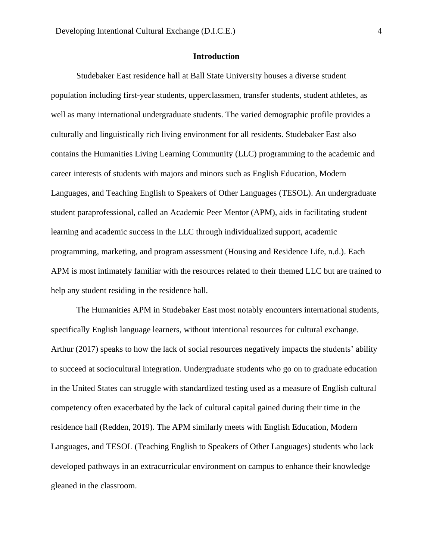## **Introduction**

<span id="page-3-0"></span>Studebaker East residence hall at Ball State University houses a diverse student population including first-year students, upperclassmen, transfer students, student athletes, as well as many international undergraduate students. The varied demographic profile provides a culturally and linguistically rich living environment for all residents. Studebaker East also contains the Humanities Living Learning Community (LLC) programming to the academic and career interests of students with majors and minors such as English Education, Modern Languages, and Teaching English to Speakers of Other Languages (TESOL). An undergraduate student paraprofessional, called an Academic Peer Mentor (APM), aids in facilitating student learning and academic success in the LLC through individualized support, academic programming, marketing, and program assessment (Housing and Residence Life, n.d.). Each APM is most intimately familiar with the resources related to their themed LLC but are trained to help any student residing in the residence hall.

The Humanities APM in Studebaker East most notably encounters international students, specifically English language learners, without intentional resources for cultural exchange. Arthur (2017) speaks to how the lack of social resources negatively impacts the students' ability to succeed at sociocultural integration. Undergraduate students who go on to graduate education in the United States can struggle with standardized testing used as a measure of English cultural competency often exacerbated by the lack of cultural capital gained during their time in the residence hall (Redden, 2019). The APM similarly meets with English Education, Modern Languages, and TESOL (Teaching English to Speakers of Other Languages) students who lack developed pathways in an extracurricular environment on campus to enhance their knowledge gleaned in the classroom.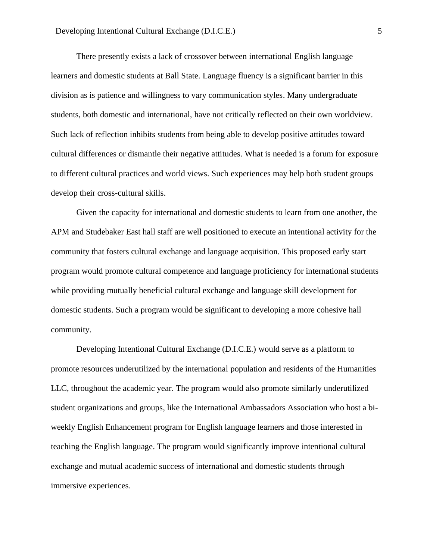There presently exists a lack of crossover between international English language learners and domestic students at Ball State. Language fluency is a significant barrier in this division as is patience and willingness to vary communication styles. Many undergraduate students, both domestic and international, have not critically reflected on their own worldview. Such lack of reflection inhibits students from being able to develop positive attitudes toward cultural differences or dismantle their negative attitudes. What is needed is a forum for exposure to different cultural practices and world views. Such experiences may help both student groups develop their cross-cultural skills.

Given the capacity for international and domestic students to learn from one another, the APM and Studebaker East hall staff are well positioned to execute an intentional activity for the community that fosters cultural exchange and language acquisition. This proposed early start program would promote cultural competence and language proficiency for international students while providing mutually beneficial cultural exchange and language skill development for domestic students. Such a program would be significant to developing a more cohesive hall community.

Developing Intentional Cultural Exchange (D.I.C.E.) would serve as a platform to promote resources underutilized by the international population and residents of the Humanities LLC, throughout the academic year. The program would also promote similarly underutilized student organizations and groups, like the International Ambassadors Association who host a biweekly English Enhancement program for English language learners and those interested in teaching the English language. The program would significantly improve intentional cultural exchange and mutual academic success of international and domestic students through immersive experiences.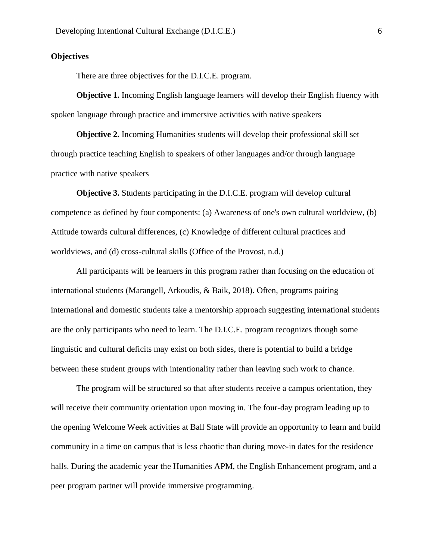#### <span id="page-5-0"></span>**Objectives**

There are three objectives for the D.I.C.E. program.

**Objective 1.** Incoming English language learners will develop their English fluency with spoken language through practice and immersive activities with native speakers

**Objective 2.** Incoming Humanities students will develop their professional skill set through practice teaching English to speakers of other languages and/or through language practice with native speakers

**Objective 3.** Students participating in the D.I.C.E. program will develop cultural competence as defined by four components: (a) Awareness of one's own cultural worldview, (b) Attitude towards cultural differences, (c) Knowledge of different cultural practices and worldviews, and (d) cross-cultural skills (Office of the Provost, n.d.)

All participants will be learners in this program rather than focusing on the education of international students (Marangell, Arkoudis, & Baik, 2018). Often, programs pairing international and domestic students take a mentorship approach suggesting international students are the only participants who need to learn. The D.I.C.E. program recognizes though some linguistic and cultural deficits may exist on both sides, there is potential to build a bridge between these student groups with intentionality rather than leaving such work to chance.

The program will be structured so that after students receive a campus orientation, they will receive their community orientation upon moving in. The four-day program leading up to the opening Welcome Week activities at Ball State will provide an opportunity to learn and build community in a time on campus that is less chaotic than during move-in dates for the residence halls. During the academic year the Humanities APM, the English Enhancement program, and a peer program partner will provide immersive programming.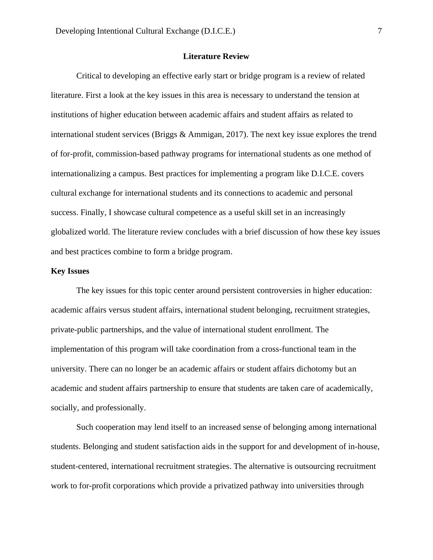#### **Literature Review**

<span id="page-6-0"></span>Critical to developing an effective early start or bridge program is a review of related literature. First a look at the key issues in this area is necessary to understand the tension at institutions of higher education between academic affairs and student affairs as related to international student services (Briggs & Ammigan, 2017). The next key issue explores the trend of for-profit, commission-based pathway programs for international students as one method of internationalizing a campus. Best practices for implementing a program like D.I.C.E. covers cultural exchange for international students and its connections to academic and personal success. Finally, I showcase cultural competence as a useful skill set in an increasingly globalized world. The literature review concludes with a brief discussion of how these key issues and best practices combine to form a bridge program.

#### <span id="page-6-1"></span>**Key Issues**

The key issues for this topic center around persistent controversies in higher education: academic affairs versus student affairs, international student belonging, recruitment strategies, private-public partnerships, and the value of international student enrollment. The implementation of this program will take coordination from a cross-functional team in the university. There can no longer be an academic affairs or student affairs dichotomy but an academic and student affairs partnership to ensure that students are taken care of academically, socially, and professionally.

Such cooperation may lend itself to an increased sense of belonging among international students. Belonging and student satisfaction aids in the support for and development of in-house, student-centered, international recruitment strategies. The alternative is outsourcing recruitment work to for-profit corporations which provide a privatized pathway into universities through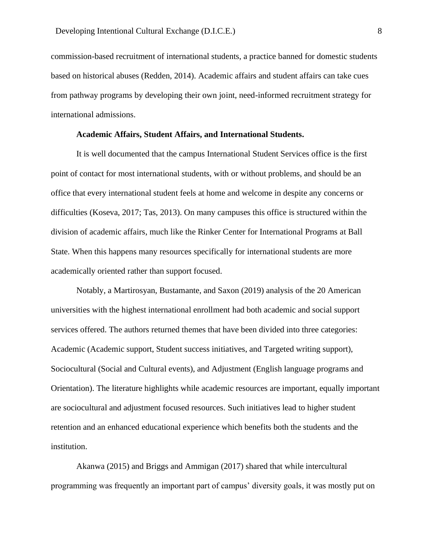commission-based recruitment of international students, a practice banned for domestic students based on historical abuses (Redden, 2014). Academic affairs and student affairs can take cues from pathway programs by developing their own joint, need-informed recruitment strategy for international admissions.

#### **Academic Affairs, Student Affairs, and International Students.**

It is well documented that the campus International Student Services office is the first point of contact for most international students, with or without problems, and should be an office that every international student feels at home and welcome in despite any concerns or difficulties (Koseva, 2017; Tas, 2013). On many campuses this office is structured within the division of academic affairs, much like the Rinker Center for International Programs at Ball State. When this happens many resources specifically for international students are more academically oriented rather than support focused.

Notably, a Martirosyan, Bustamante, and Saxon (2019) analysis of the 20 American universities with the highest international enrollment had both academic and social support services offered. The authors returned themes that have been divided into three categories: Academic (Academic support, Student success initiatives, and Targeted writing support), Sociocultural (Social and Cultural events), and Adjustment (English language programs and Orientation). The literature highlights while academic resources are important, equally important are sociocultural and adjustment focused resources. Such initiatives lead to higher student retention and an enhanced educational experience which benefits both the students and the institution.

Akanwa (2015) and Briggs and Ammigan (2017) shared that while intercultural programming was frequently an important part of campus' diversity goals, it was mostly put on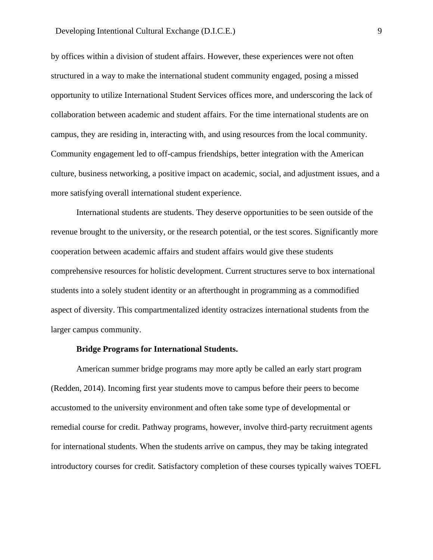by offices within a division of student affairs. However, these experiences were not often structured in a way to make the international student community engaged, posing a missed opportunity to utilize International Student Services offices more, and underscoring the lack of collaboration between academic and student affairs. For the time international students are on campus, they are residing in, interacting with, and using resources from the local community. Community engagement led to off-campus friendships, better integration with the American culture, business networking, a positive impact on academic, social, and adjustment issues, and a more satisfying overall international student experience.

International students are students. They deserve opportunities to be seen outside of the revenue brought to the university, or the research potential, or the test scores. Significantly more cooperation between academic affairs and student affairs would give these students comprehensive resources for holistic development. Current structures serve to box international students into a solely student identity or an afterthought in programming as a commodified aspect of diversity. This compartmentalized identity ostracizes international students from the larger campus community.

#### **Bridge Programs for International Students.**

American summer bridge programs may more aptly be called an early start program (Redden, 2014). Incoming first year students move to campus before their peers to become accustomed to the university environment and often take some type of developmental or remedial course for credit. Pathway programs, however, involve third-party recruitment agents for international students. When the students arrive on campus, they may be taking integrated introductory courses for credit. Satisfactory completion of these courses typically waives TOEFL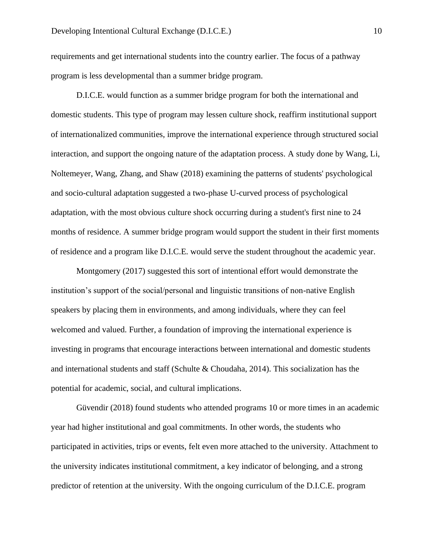requirements and get international students into the country earlier. The focus of a pathway program is less developmental than a summer bridge program.

D.I.C.E. would function as a summer bridge program for both the international and domestic students. This type of program may lessen culture shock, reaffirm institutional support of internationalized communities, improve the international experience through structured social interaction, and support the ongoing nature of the adaptation process. A study done by Wang, Li, Noltemeyer, Wang, Zhang, and Shaw (2018) examining the patterns of students' psychological and socio-cultural adaptation suggested a two-phase U-curved process of psychological adaptation, with the most obvious culture shock occurring during a student's first nine to 24 months of residence. A summer bridge program would support the student in their first moments of residence and a program like D.I.C.E. would serve the student throughout the academic year.

Montgomery (2017) suggested this sort of intentional effort would demonstrate the institution's support of the social/personal and linguistic transitions of non-native English speakers by placing them in environments, and among individuals, where they can feel welcomed and valued. Further, a foundation of improving the international experience is investing in programs that encourage interactions between international and domestic students and international students and staff (Schulte & Choudaha, 2014). This socialization has the potential for academic, social, and cultural implications.

Güvendir (2018) found students who attended programs 10 or more times in an academic year had higher institutional and goal commitments. In other words, the students who participated in activities, trips or events, felt even more attached to the university. Attachment to the university indicates institutional commitment, a key indicator of belonging, and a strong predictor of retention at the university. With the ongoing curriculum of the D.I.C.E. program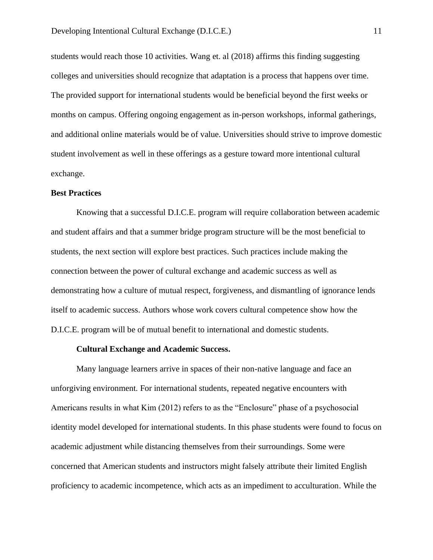students would reach those 10 activities. Wang et. al (2018) affirms this finding suggesting colleges and universities should recognize that adaptation is a process that happens over time. The provided support for international students would be beneficial beyond the first weeks or months on campus. Offering ongoing engagement as in-person workshops, informal gatherings, and additional online materials would be of value. Universities should strive to improve domestic student involvement as well in these offerings as a gesture toward more intentional cultural exchange.

#### <span id="page-10-0"></span>**Best Practices**

Knowing that a successful D.I.C.E. program will require collaboration between academic and student affairs and that a summer bridge program structure will be the most beneficial to students, the next section will explore best practices. Such practices include making the connection between the power of cultural exchange and academic success as well as demonstrating how a culture of mutual respect, forgiveness, and dismantling of ignorance lends itself to academic success. Authors whose work covers cultural competence show how the D.I.C.E. program will be of mutual benefit to international and domestic students.

#### **Cultural Exchange and Academic Success.**

Many language learners arrive in spaces of their non-native language and face an unforgiving environment. For international students, repeated negative encounters with Americans results in what Kim (2012) refers to as the "Enclosure" phase of a psychosocial identity model developed for international students. In this phase students were found to focus on academic adjustment while distancing themselves from their surroundings. Some were concerned that American students and instructors might falsely attribute their limited English proficiency to academic incompetence, which acts as an impediment to acculturation. While the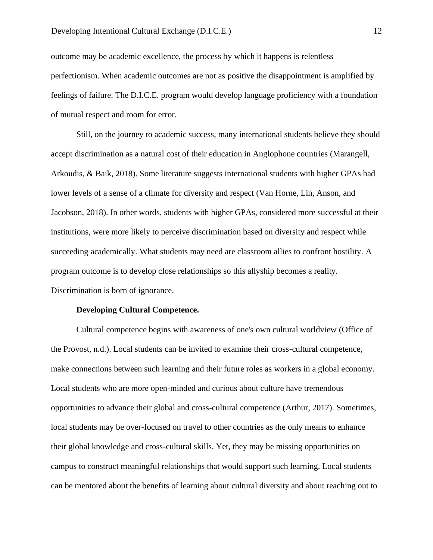outcome may be academic excellence, the process by which it happens is relentless perfectionism. When academic outcomes are not as positive the disappointment is amplified by feelings of failure. The D.I.C.E. program would develop language proficiency with a foundation of mutual respect and room for error.

Still, on the journey to academic success, many international students believe they should accept discrimination as a natural cost of their education in Anglophone countries (Marangell, Arkoudis, & Baik, 2018). Some literature suggests international students with higher GPAs had lower levels of a sense of a climate for diversity and respect (Van Horne, Lin, Anson, and Jacobson, 2018). In other words, students with higher GPAs, considered more successful at their institutions, were more likely to perceive discrimination based on diversity and respect while succeeding academically. What students may need are classroom allies to confront hostility. A program outcome is to develop close relationships so this allyship becomes a reality. Discrimination is born of ignorance.

#### **Developing Cultural Competence.**

Cultural competence begins with awareness of one's own cultural worldview (Office of the Provost, n.d.). Local students can be invited to examine their cross-cultural competence, make connections between such learning and their future roles as workers in a global economy. Local students who are more open-minded and curious about culture have tremendous opportunities to advance their global and cross-cultural competence (Arthur, 2017). Sometimes, local students may be over-focused on travel to other countries as the only means to enhance their global knowledge and cross-cultural skills. Yet, they may be missing opportunities on campus to construct meaningful relationships that would support such learning. Local students can be mentored about the benefits of learning about cultural diversity and about reaching out to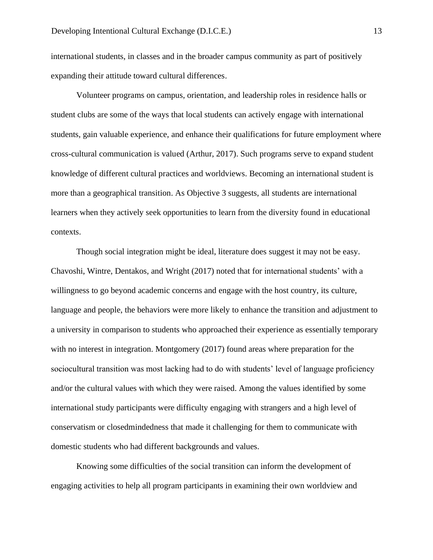international students, in classes and in the broader campus community as part of positively expanding their attitude toward cultural differences.

Volunteer programs on campus, orientation, and leadership roles in residence halls or student clubs are some of the ways that local students can actively engage with international students, gain valuable experience, and enhance their qualifications for future employment where cross-cultural communication is valued (Arthur, 2017). Such programs serve to expand student knowledge of different cultural practices and worldviews. Becoming an international student is more than a geographical transition. As Objective 3 suggests, all students are international learners when they actively seek opportunities to learn from the diversity found in educational contexts.

Though social integration might be ideal, literature does suggest it may not be easy. Chavoshi, Wintre, Dentakos, and Wright (2017) noted that for international students' with a willingness to go beyond academic concerns and engage with the host country, its culture, language and people, the behaviors were more likely to enhance the transition and adjustment to a university in comparison to students who approached their experience as essentially temporary with no interest in integration. Montgomery (2017) found areas where preparation for the sociocultural transition was most lacking had to do with students' level of language proficiency and/or the cultural values with which they were raised. Among the values identified by some international study participants were difficulty engaging with strangers and a high level of conservatism or closedmindedness that made it challenging for them to communicate with domestic students who had different backgrounds and values.

Knowing some difficulties of the social transition can inform the development of engaging activities to help all program participants in examining their own worldview and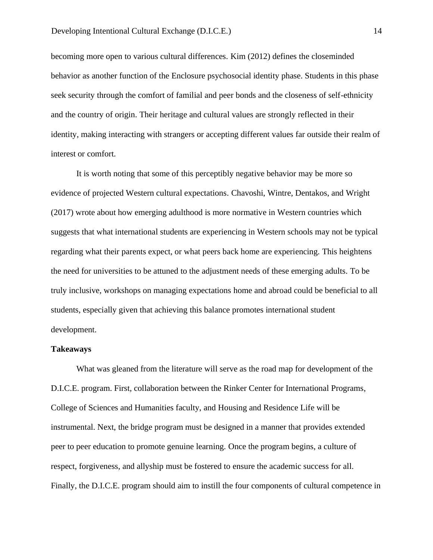becoming more open to various cultural differences. Kim (2012) defines the closeminded behavior as another function of the Enclosure psychosocial identity phase. Students in this phase seek security through the comfort of familial and peer bonds and the closeness of self-ethnicity and the country of origin. Their heritage and cultural values are strongly reflected in their identity, making interacting with strangers or accepting different values far outside their realm of interest or comfort.

It is worth noting that some of this perceptibly negative behavior may be more so evidence of projected Western cultural expectations. Chavoshi, Wintre, Dentakos, and Wright (2017) wrote about how emerging adulthood is more normative in Western countries which suggests that what international students are experiencing in Western schools may not be typical regarding what their parents expect, or what peers back home are experiencing. This heightens the need for universities to be attuned to the adjustment needs of these emerging adults. To be truly inclusive, workshops on managing expectations home and abroad could be beneficial to all students, especially given that achieving this balance promotes international student development.

#### <span id="page-13-0"></span>**Takeaways**

What was gleaned from the literature will serve as the road map for development of the D.I.C.E. program. First, collaboration between the Rinker Center for International Programs, College of Sciences and Humanities faculty, and Housing and Residence Life will be instrumental. Next, the bridge program must be designed in a manner that provides extended peer to peer education to promote genuine learning. Once the program begins, a culture of respect, forgiveness, and allyship must be fostered to ensure the academic success for all. Finally, the D.I.C.E. program should aim to instill the four components of cultural competence in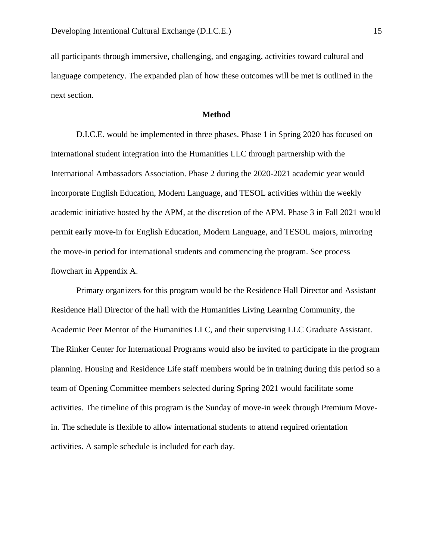all participants through immersive, challenging, and engaging, activities toward cultural and language competency. The expanded plan of how these outcomes will be met is outlined in the next section.

#### **Method**

<span id="page-14-0"></span>D.I.C.E. would be implemented in three phases. Phase 1 in Spring 2020 has focused on international student integration into the Humanities LLC through partnership with the International Ambassadors Association. Phase 2 during the 2020-2021 academic year would incorporate English Education, Modern Language, and TESOL activities within the weekly academic initiative hosted by the APM, at the discretion of the APM. Phase 3 in Fall 2021 would permit early move-in for English Education, Modern Language, and TESOL majors, mirroring the move-in period for international students and commencing the program. See process flowchart in Appendix A.

Primary organizers for this program would be the Residence Hall Director and Assistant Residence Hall Director of the hall with the Humanities Living Learning Community, the Academic Peer Mentor of the Humanities LLC, and their supervising LLC Graduate Assistant. The Rinker Center for International Programs would also be invited to participate in the program planning. Housing and Residence Life staff members would be in training during this period so a team of Opening Committee members selected during Spring 2021 would facilitate some activities. The timeline of this program is the Sunday of move-in week through Premium Movein. The schedule is flexible to allow international students to attend required orientation activities. A sample schedule is included for each day.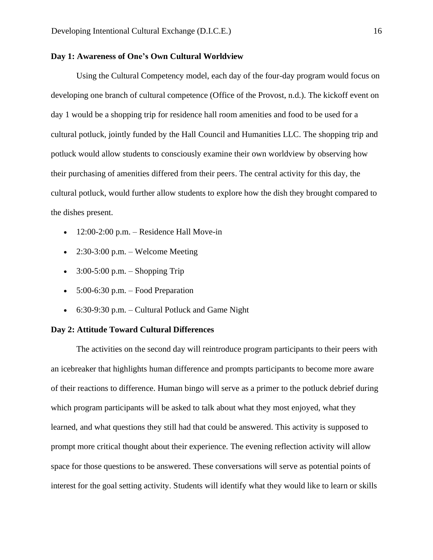#### <span id="page-15-0"></span>**Day 1: Awareness of One's Own Cultural Worldview**

Using the Cultural Competency model, each day of the four-day program would focus on developing one branch of cultural competence (Office of the Provost, n.d.). The kickoff event on day 1 would be a shopping trip for residence hall room amenities and food to be used for a cultural potluck, jointly funded by the Hall Council and Humanities LLC. The shopping trip and potluck would allow students to consciously examine their own worldview by observing how their purchasing of amenities differed from their peers. The central activity for this day, the cultural potluck, would further allow students to explore how the dish they brought compared to the dishes present.

- $\bullet$  12:00-2:00 p.m. Residence Hall Move-in
- 2:30-3:00 p.m. Welcome Meeting
- $3:00-5:00$  p.m. Shopping Trip
- $5:00-6:30$  p.m. Food Preparation
- 6:30-9:30 p.m. Cultural Potluck and Game Night

#### <span id="page-15-1"></span>**Day 2: Attitude Toward Cultural Differences**

The activities on the second day will reintroduce program participants to their peers with an icebreaker that highlights human difference and prompts participants to become more aware of their reactions to difference. Human bingo will serve as a primer to the potluck debrief during which program participants will be asked to talk about what they most enjoyed, what they learned, and what questions they still had that could be answered. This activity is supposed to prompt more critical thought about their experience. The evening reflection activity will allow space for those questions to be answered. These conversations will serve as potential points of interest for the goal setting activity. Students will identify what they would like to learn or skills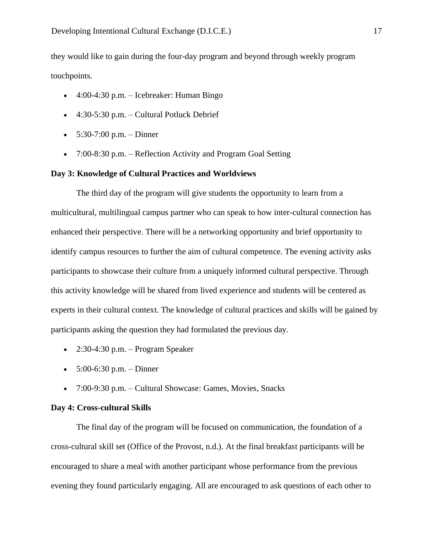they would like to gain during the four-day program and beyond through weekly program touchpoints.

- 4:00-4:30 p.m. Icebreaker: Human Bingo
- $\bullet$  4:30-5:30 p.m. Cultural Potluck Debrief
- $5:30-7:00$  p.m. Dinner
- 7:00-8:30 p.m. Reflection Activity and Program Goal Setting

#### <span id="page-16-0"></span>**Day 3: Knowledge of Cultural Practices and Worldviews**

The third day of the program will give students the opportunity to learn from a multicultural, multilingual campus partner who can speak to how inter-cultural connection has enhanced their perspective. There will be a networking opportunity and brief opportunity to identify campus resources to further the aim of cultural competence. The evening activity asks participants to showcase their culture from a uniquely informed cultural perspective. Through this activity knowledge will be shared from lived experience and students will be centered as experts in their cultural context. The knowledge of cultural practices and skills will be gained by participants asking the question they had formulated the previous day.

- 2:30-4:30 p.m. Program Speaker
- $5:00-6:30 \text{ p.m.} \text{Dinner}$
- 7:00-9:30 p.m. Cultural Showcase: Games, Movies, Snacks

#### <span id="page-16-1"></span>**Day 4: Cross-cultural Skills**

The final day of the program will be focused on communication, the foundation of a cross-cultural skill set (Office of the Provost, n.d.). At the final breakfast participants will be encouraged to share a meal with another participant whose performance from the previous evening they found particularly engaging. All are encouraged to ask questions of each other to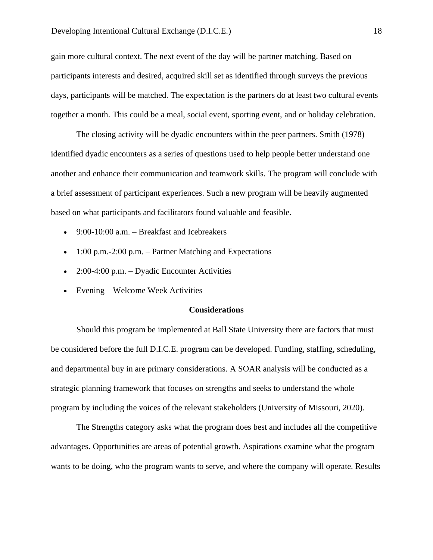gain more cultural context. The next event of the day will be partner matching. Based on participants interests and desired, acquired skill set as identified through surveys the previous days, participants will be matched. The expectation is the partners do at least two cultural events together a month. This could be a meal, social event, sporting event, and or holiday celebration.

The closing activity will be dyadic encounters within the peer partners. Smith (1978) identified dyadic encounters as a series of questions used to help people better understand one another and enhance their communication and teamwork skills. The program will conclude with a brief assessment of participant experiences. Such a new program will be heavily augmented based on what participants and facilitators found valuable and feasible.

- 9:00-10:00 a.m. Breakfast and Icebreakers
- $\bullet$  1:00 p.m.-2:00 p.m. Partner Matching and Expectations
- 2:00-4:00 p.m. Dyadic Encounter Activities
- Evening Welcome Week Activities

#### **Considerations**

<span id="page-17-0"></span>Should this program be implemented at Ball State University there are factors that must be considered before the full D.I.C.E. program can be developed. Funding, staffing, scheduling, and departmental buy in are primary considerations. A SOAR analysis will be conducted as a strategic planning framework that focuses on strengths and seeks to understand the whole program by including the voices of the relevant stakeholders (University of Missouri, 2020).

The Strengths category asks what the program does best and includes all the competitive advantages. Opportunities are areas of potential growth. Aspirations examine what the program wants to be doing, who the program wants to serve, and where the company will operate. Results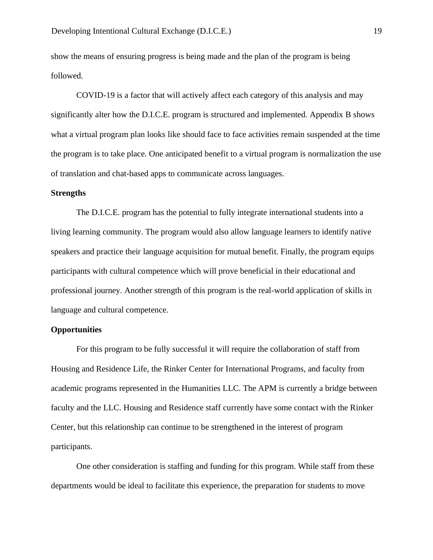show the means of ensuring progress is being made and the plan of the program is being followed.

COVID-19 is a factor that will actively affect each category of this analysis and may significantly alter how the D.I.C.E. program is structured and implemented. Appendix B shows what a virtual program plan looks like should face to face activities remain suspended at the time the program is to take place. One anticipated benefit to a virtual program is normalization the use of translation and chat-based apps to communicate across languages.

#### <span id="page-18-0"></span>**Strengths**

The D.I.C.E. program has the potential to fully integrate international students into a living learning community. The program would also allow language learners to identify native speakers and practice their language acquisition for mutual benefit. Finally, the program equips participants with cultural competence which will prove beneficial in their educational and professional journey. Another strength of this program is the real-world application of skills in language and cultural competence.

#### <span id="page-18-1"></span>**Opportunities**

For this program to be fully successful it will require the collaboration of staff from Housing and Residence Life, the Rinker Center for International Programs, and faculty from academic programs represented in the Humanities LLC. The APM is currently a bridge between faculty and the LLC. Housing and Residence staff currently have some contact with the Rinker Center, but this relationship can continue to be strengthened in the interest of program participants.

One other consideration is staffing and funding for this program. While staff from these departments would be ideal to facilitate this experience, the preparation for students to move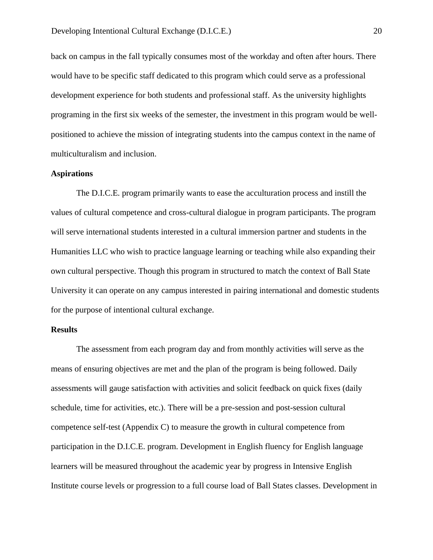back on campus in the fall typically consumes most of the workday and often after hours. There would have to be specific staff dedicated to this program which could serve as a professional development experience for both students and professional staff. As the university highlights programing in the first six weeks of the semester, the investment in this program would be wellpositioned to achieve the mission of integrating students into the campus context in the name of multiculturalism and inclusion.

#### <span id="page-19-0"></span>**Aspirations**

The D.I.C.E. program primarily wants to ease the acculturation process and instill the values of cultural competence and cross-cultural dialogue in program participants. The program will serve international students interested in a cultural immersion partner and students in the Humanities LLC who wish to practice language learning or teaching while also expanding their own cultural perspective. Though this program in structured to match the context of Ball State University it can operate on any campus interested in pairing international and domestic students for the purpose of intentional cultural exchange.

#### <span id="page-19-1"></span>**Results**

The assessment from each program day and from monthly activities will serve as the means of ensuring objectives are met and the plan of the program is being followed. Daily assessments will gauge satisfaction with activities and solicit feedback on quick fixes (daily schedule, time for activities, etc.). There will be a pre-session and post-session cultural competence self-test (Appendix C) to measure the growth in cultural competence from participation in the D.I.C.E. program. Development in English fluency for English language learners will be measured throughout the academic year by progress in Intensive English Institute course levels or progression to a full course load of Ball States classes. Development in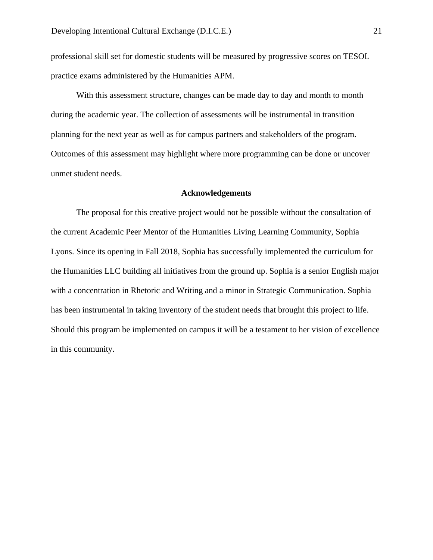professional skill set for domestic students will be measured by progressive scores on TESOL practice exams administered by the Humanities APM.

With this assessment structure, changes can be made day to day and month to month during the academic year. The collection of assessments will be instrumental in transition planning for the next year as well as for campus partners and stakeholders of the program. Outcomes of this assessment may highlight where more programming can be done or uncover unmet student needs.

#### **Acknowledgements**

<span id="page-20-0"></span>The proposal for this creative project would not be possible without the consultation of the current Academic Peer Mentor of the Humanities Living Learning Community, Sophia Lyons. Since its opening in Fall 2018, Sophia has successfully implemented the curriculum for the Humanities LLC building all initiatives from the ground up. Sophia is a senior English major with a concentration in Rhetoric and Writing and a minor in Strategic Communication. Sophia has been instrumental in taking inventory of the student needs that brought this project to life. Should this program be implemented on campus it will be a testament to her vision of excellence in this community.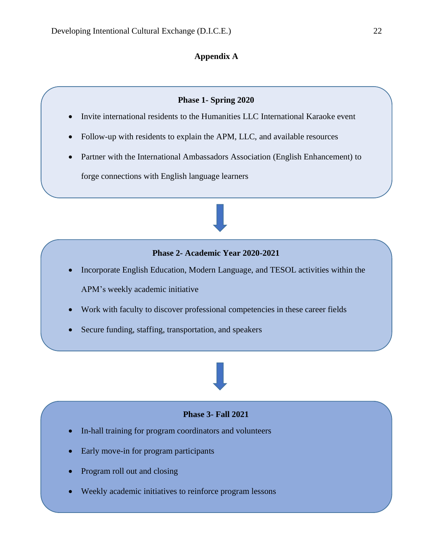## **Appendix A**

#### **Phase 1- Spring 2020**

- <span id="page-21-0"></span>• Invite international residents to the Humanities LLC International Karaoke event
- Follow-up with residents to explain the APM, LLC, and available resources
- Partner with the International Ambassadors Association (English Enhancement) to forge connections with English language learners

#### **Phase 2- Academic Year 2020-2021**

- Incorporate English Education, Modern Language, and TESOL activities within the APM's weekly academic initiative
- Work with faculty to discover professional competencies in these career fields
- Secure funding, staffing, transportation, and speakers

## **Phase 3- Fall 2021**

- In-hall training for program coordinators and volunteers
- Early move-in for program participants
- Program roll out and closing
- Weekly academic initiatives to reinforce program lessons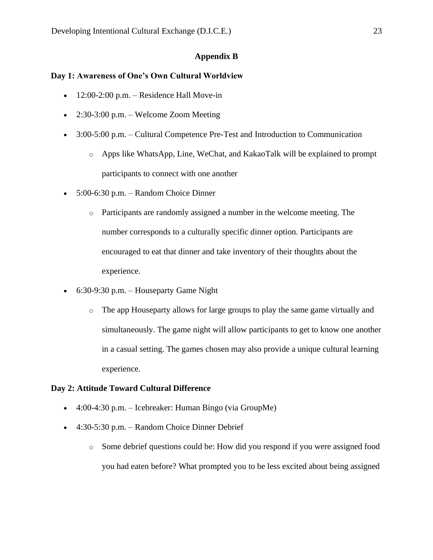## **Appendix B**

#### <span id="page-22-0"></span>**Day 1: Awareness of One's Own Cultural Worldview**

- $\bullet$  12:00-2:00 p.m. Residence Hall Move-in
- 2:30-3:00 p.m. Welcome Zoom Meeting
- 3:00-5:00 p.m. Cultural Competence Pre-Test and Introduction to Communication
	- o Apps like WhatsApp, Line, WeChat, and KakaoTalk will be explained to prompt participants to connect with one another
- 5:00-6:30 p.m. Random Choice Dinner
	- o Participants are randomly assigned a number in the welcome meeting. The number corresponds to a culturally specific dinner option. Participants are encouraged to eat that dinner and take inventory of their thoughts about the experience.
- 6:30-9:30 p.m. Houseparty Game Night
	- o The app Houseparty allows for large groups to play the same game virtually and simultaneously. The game night will allow participants to get to know one another in a casual setting. The games chosen may also provide a unique cultural learning experience.

#### **Day 2: Attitude Toward Cultural Difference**

- 4:00-4:30 p.m. Icebreaker: Human Bingo (via GroupMe)
- 4:30-5:30 p.m. Random Choice Dinner Debrief
	- o Some debrief questions could be: How did you respond if you were assigned food you had eaten before? What prompted you to be less excited about being assigned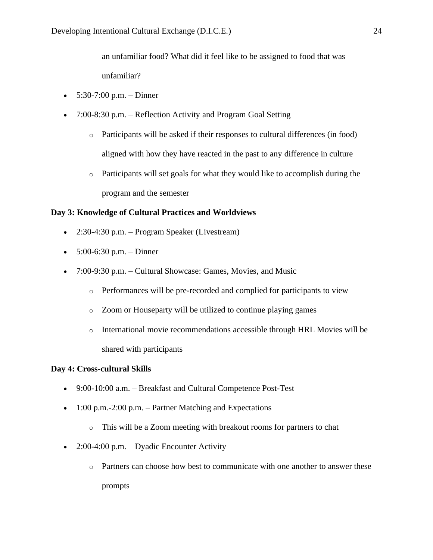an unfamiliar food? What did it feel like to be assigned to food that was unfamiliar?

- $5:30-7:00$  p.m. Dinner
- 7:00-8:30 p.m. Reflection Activity and Program Goal Setting
	- $\circ$  Participants will be asked if their responses to cultural differences (in food) aligned with how they have reacted in the past to any difference in culture
	- $\circ$  Participants will set goals for what they would like to accomplish during the program and the semester

## **Day 3: Knowledge of Cultural Practices and Worldviews**

- 2:30-4:30 p.m. Program Speaker (Livestream)
- $5:00-6:30$  p.m. Dinner
- 7:00-9:30 p.m. Cultural Showcase: Games, Movies, and Music
	- o Performances will be pre-recorded and complied for participants to view
	- o Zoom or Houseparty will be utilized to continue playing games
	- o International movie recommendations accessible through HRL Movies will be shared with participants

## **Day 4: Cross-cultural Skills**

- 9:00-10:00 a.m. Breakfast and Cultural Competence Post-Test
- $\bullet$  1:00 p.m.-2:00 p.m. Partner Matching and Expectations
	- o This will be a Zoom meeting with breakout rooms for partners to chat
- 2:00-4:00 p.m. Dyadic Encounter Activity
	- o Partners can choose how best to communicate with one another to answer these prompts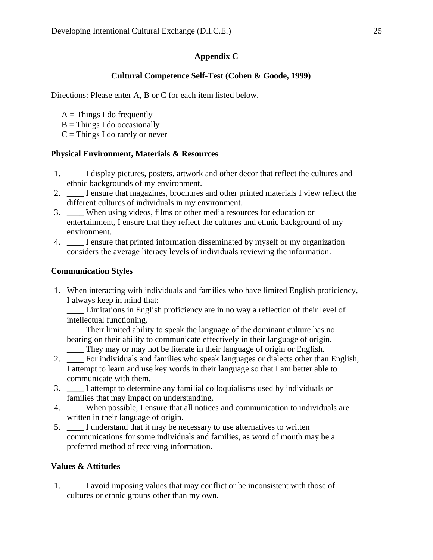## **Appendix C**

## **Cultural Competence Self-Test (Cohen & Goode, 1999)**

<span id="page-24-0"></span>Directions: Please enter A, B or C for each item listed below.

- $A =$ Things I do frequently
- $B =$ Things I do occasionally
- $C =$ Things I do rarely or never

## **Physical Environment, Materials & Resources**

- 1. \_\_\_\_ I display pictures, posters, artwork and other decor that reflect the cultures and ethnic backgrounds of my environment.
- 2. \_\_\_\_ I ensure that magazines, brochures and other printed materials I view reflect the different cultures of individuals in my environment.
- 3. \_\_\_\_ When using videos, films or other media resources for education or entertainment, I ensure that they reflect the cultures and ethnic background of my environment.
- 4. \_\_\_\_ I ensure that printed information disseminated by myself or my organization considers the average literacy levels of individuals reviewing the information.

## **Communication Styles**

1. When interacting with individuals and families who have limited English proficiency, I always keep in mind that:

\_\_\_\_ Limitations in English proficiency are in no way a reflection of their level of intellectual functioning.

\_\_\_\_ Their limited ability to speak the language of the dominant culture has no bearing on their ability to communicate effectively in their language of origin.

- \_\_\_\_ They may or may not be literate in their language of origin or English.
- 2. \_\_\_\_ For individuals and families who speak languages or dialects other than English, I attempt to learn and use key words in their language so that I am better able to communicate with them.
- 3. \_\_\_\_ I attempt to determine any familial colloquialisms used by individuals or families that may impact on understanding.
- 4. \_\_\_\_ When possible, I ensure that all notices and communication to individuals are written in their language of origin.
- 5. \_\_\_\_ I understand that it may be necessary to use alternatives to written communications for some individuals and families, as word of mouth may be a preferred method of receiving information.

## **Values & Attitudes**

1. \_\_\_\_ I avoid imposing values that may conflict or be inconsistent with those of cultures or ethnic groups other than my own.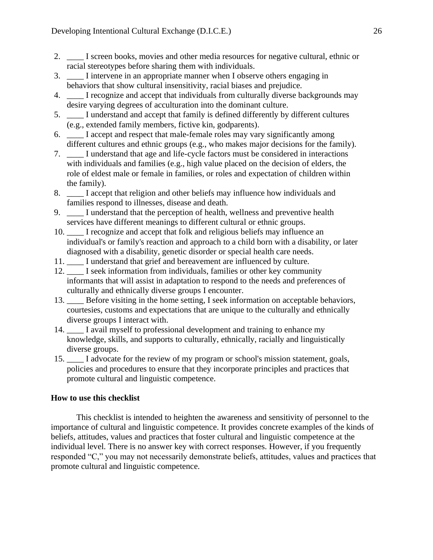- 2. I screen books, movies and other media resources for negative cultural, ethnic or racial stereotypes before sharing them with individuals.
- 3. \_\_\_\_ I intervene in an appropriate manner when I observe others engaging in behaviors that show cultural insensitivity, racial biases and prejudice.
- 4. \_\_\_\_ I recognize and accept that individuals from culturally diverse backgrounds may desire varying degrees of acculturation into the dominant culture.
- 5. \_\_\_\_ I understand and accept that family is defined differently by different cultures (e.g., extended family members, fictive kin, godparents).
- 6. \_\_\_\_ I accept and respect that male-female roles may vary significantly among different cultures and ethnic groups (e.g., who makes major decisions for the family).
- 7. \_\_\_\_ I understand that age and life-cycle factors must be considered in interactions with individuals and families (e.g., high value placed on the decision of elders, the role of eldest male or female in families, or roles and expectation of children within the family).
- 8. I accept that religion and other beliefs may influence how individuals and families respond to illnesses, disease and death.
- 9. \_\_\_\_ I understand that the perception of health, wellness and preventive health services have different meanings to different cultural or ethnic groups.
- 10. I recognize and accept that folk and religious beliefs may influence an individual's or family's reaction and approach to a child born with a disability, or later diagnosed with a disability, genetic disorder or special health care needs.
- 11. \_\_\_\_ I understand that grief and bereavement are influenced by culture.
- 12. \_\_\_\_ I seek information from individuals, families or other key community informants that will assist in adaptation to respond to the needs and preferences of culturally and ethnically diverse groups I encounter.
- 13. Before visiting in the home setting, I seek information on acceptable behaviors, courtesies, customs and expectations that are unique to the culturally and ethnically diverse groups I interact with.
- 14. I avail myself to professional development and training to enhance my knowledge, skills, and supports to culturally, ethnically, racially and linguistically diverse groups.
- 15. \_\_\_\_ I advocate for the review of my program or school's mission statement, goals, policies and procedures to ensure that they incorporate principles and practices that promote cultural and linguistic competence.

## **How to use this checklist**

This checklist is intended to heighten the awareness and sensitivity of personnel to the importance of cultural and linguistic competence. It provides concrete examples of the kinds of beliefs, attitudes, values and practices that foster cultural and linguistic competence at the individual level. There is no answer key with correct responses. However, if you frequently responded "C," you may not necessarily demonstrate beliefs, attitudes, values and practices that promote cultural and linguistic competence.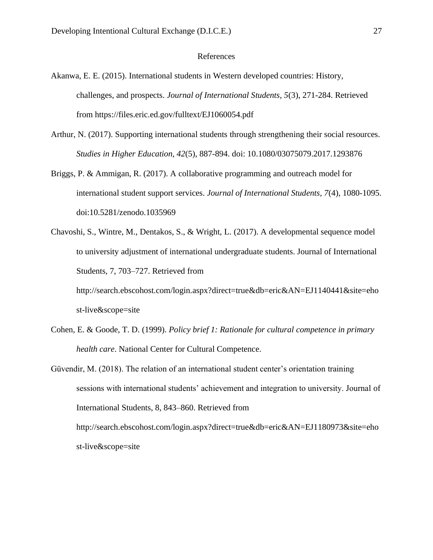#### References

- <span id="page-26-0"></span>Akanwa, E. E. (2015). International students in Western developed countries: History, challenges, and prospects. *Journal of International Students, 5*(3), 271-284. Retrieved from https://files.eric.ed.gov/fulltext/EJ1060054.pdf
- Arthur, N. (2017). Supporting international students through strengthening their social resources. *Studies in Higher Education, 42*(5), 887-894. doi: 10.1080/03075079.2017.1293876
- Briggs, P. & Ammigan, R. (2017). A collaborative programming and outreach model for international student support services. *Journal of International Students, 7*(4), 1080-1095. doi:10.5281/zenodo.1035969
- Chavoshi, S., Wintre, M., Dentakos, S., & Wright, L. (2017). A developmental sequence model to university adjustment of international undergraduate students. Journal of International Students, 7, 703–727. Retrieved from http://search.ebscohost.com/login.aspx?direct=true&db=eric&AN=EJ1140441&site=eho

st-live&scope=site

- Cohen, E. & Goode, T. D. (1999). *Policy brief 1: Rationale for cultural competence in primary health care*. National Center for Cultural Competence.
- Güvendir, M. (2018). The relation of an international student center's orientation training sessions with international students' achievement and integration to university. Journal of International Students, 8, 843–860. Retrieved from http://search.ebscohost.com/login.aspx?direct=true&db=eric&AN=EJ1180973&site=eho st-live&scope=site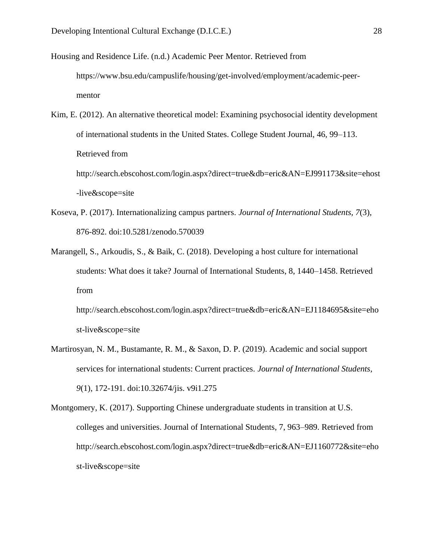Housing and Residence Life. (n.d.) Academic Peer Mentor. Retrieved from

https://www.bsu.edu/campuslife/housing/get-involved/employment/academic-peermentor

Kim, E. (2012). An alternative theoretical model: Examining psychosocial identity development of international students in the United States. College Student Journal, 46, 99–113. Retrieved from http://search.ebscohost.com/login.aspx?direct=true&db=eric&AN=EJ991173&site=ehost

-live&scope=site

- Koseva, P. (2017). Internationalizing campus partners. *Journal of International Students, 7*(3), 876-892. doi:10.5281/zenodo.570039
- Marangell, S., Arkoudis, S., & Baik, C. (2018). Developing a host culture for international students: What does it take? Journal of International Students, 8, 1440–1458. Retrieved from

http://search.ebscohost.com/login.aspx?direct=true&db=eric&AN=EJ1184695&site=eho st-live&scope=site

- Martirosyan, N. M., Bustamante, R. M., & Saxon, D. P. (2019). Academic and social support services for international students: Current practices. *Journal of International Students, 9*(1), 172-191. doi:10.32674/jis. v9i1.275
- Montgomery, K. (2017). Supporting Chinese undergraduate students in transition at U.S. colleges and universities. Journal of International Students, 7, 963–989. Retrieved from http://search.ebscohost.com/login.aspx?direct=true&db=eric&AN=EJ1160772&site=eho st-live&scope=site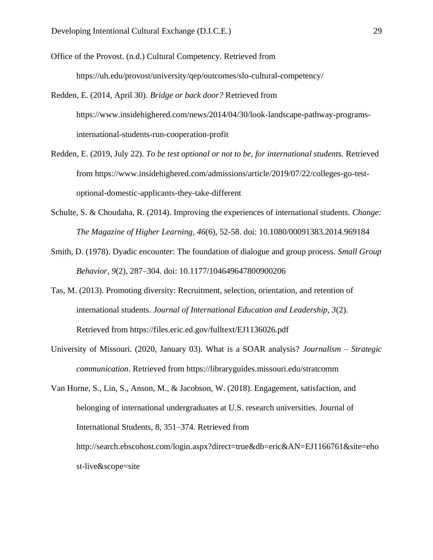Office of the Provost. (n.d.) Cultural Competency. Retrieved from https://uh.edu/provost/university/qep/outcomes/slo-cultural-competency/

- Redden, E. (2014, April 30). *Bridge or back door?* Retrieved from https://www.insidehighered.com/news/2014/04/30/look-landscape-pathway-programsinternational-students-run-cooperation-profit
- Redden, E. (2019, July 22). *To be test optional or not to be, for international students.* Retrieved from https://www.insidehighered.com/admissions/article/2019/07/22/colleges-go-testoptional-domestic-applicants-they-take-different
- Schulte, S. & Choudaha, R. (2014). Improving the experiences of international students. *Change: The Magazine of Higher Learning*, *46*(6), 52-58. doi: 10.1080/00091383.2014.969184
- Smith, D. (1978). Dyadic encounter: The foundation of dialogue and group process. *Small Group Behavior*, *9*(2), 287–304. doi: 10.1177/104649647800900206
- Tas, M. (2013). Promoting diversity: Recruitment, selection, orientation, and retention of international students. *Journal of International Education and Leadership, 3*(2). Retrieved from https://files.eric.ed.gov/fulltext/EJ1136026.pdf
- University of Missouri. (2020, January 03). What is a SOAR analysis? *Journalism – Strategic communication*. Retrieved from https://libraryguides.missouri.edu/stratcomm

Van Horne, S., Lin, S., Anson, M., & Jacobson, W. (2018). Engagement, satisfaction, and belonging of international undergraduates at U.S. research universities. Journal of International Students, 8, 351–374. Retrieved from http://search.ebscohost.com/login.aspx?direct=true&db=eric&AN=EJ1166761&site=eho st-live&scope=site